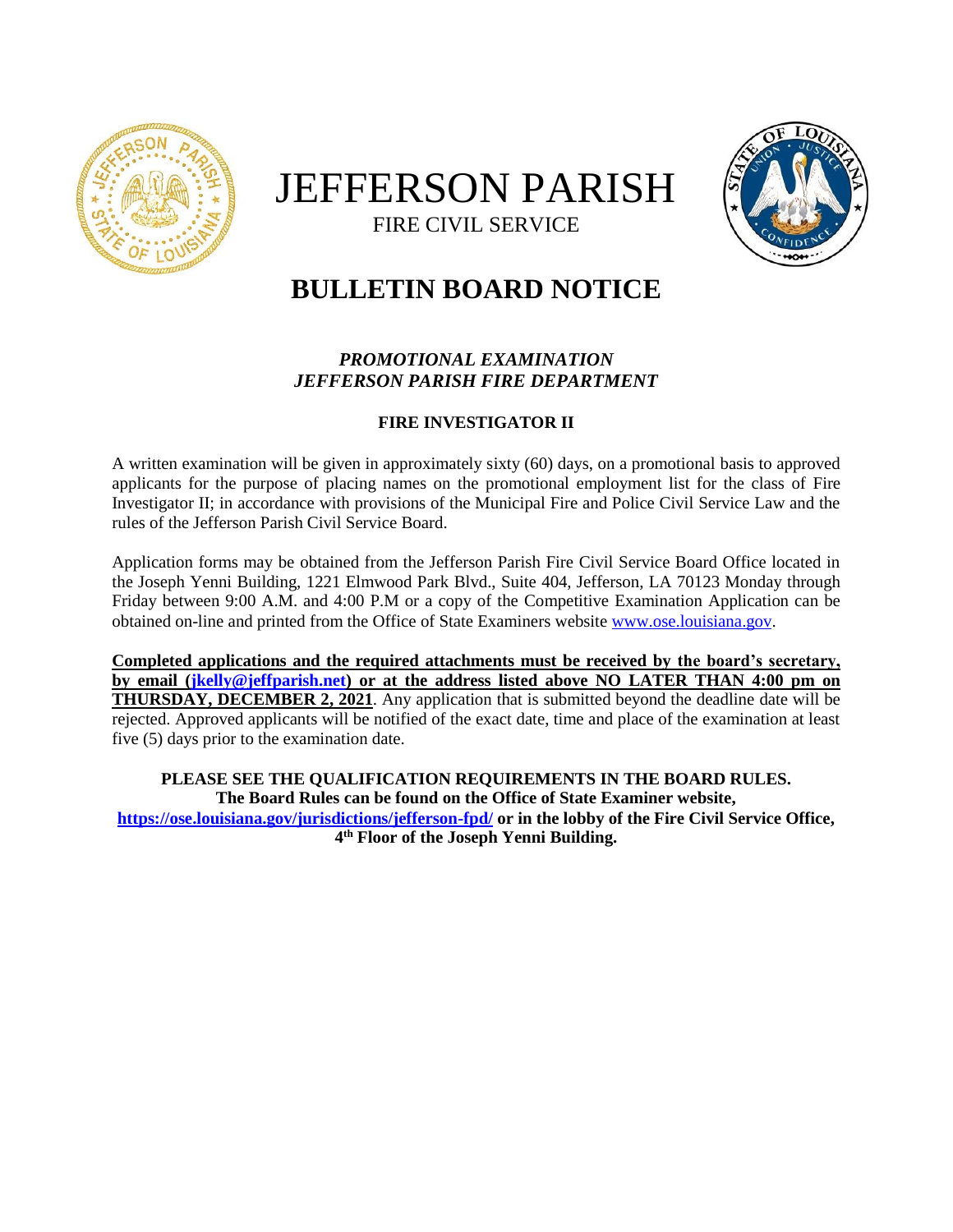

# JEFFERSON PARISH FIRE CIVIL SERVICE



## **BULLETIN BOARD NOTICE**

## *PROMOTIONAL EXAMINATION JEFFERSON PARISH FIRE DEPARTMENT*

## **FIRE INVESTIGATOR II**

A written examination will be given in approximately sixty (60) days, on a promotional basis to approved applicants for the purpose of placing names on the promotional employment list for the class of Fire Investigator II; in accordance with provisions of the Municipal Fire and Police Civil Service Law and the rules of the Jefferson Parish Civil Service Board.

Application forms may be obtained from the Jefferson Parish Fire Civil Service Board Office located in the Joseph Yenni Building, 1221 Elmwood Park Blvd., Suite 404, Jefferson, LA 70123 Monday through Friday between 9:00 A.M. and 4:00 P.M or a copy of the Competitive Examination Application can be obtained on-line and printed from the Office of State Examiners website [www.ose.louisiana.gov.](http://www.ose.louisiana.gov/)

**Completed applications and the required attachments must be received by the board's secretary, by email [\(jkelly@jeffparish.net\)](mailto:jkelly@jeffparish.net) or at the address listed above NO LATER THAN 4:00 pm on THURSDAY, DECEMBER 2, 2021**. Any application that is submitted beyond the deadline date will be rejected. Approved applicants will be notified of the exact date, time and place of the examination at least five (5) days prior to the examination date.

**PLEASE SEE THE QUALIFICATION REQUIREMENTS IN THE BOARD RULES. The Board Rules can be found on the Office of State Examiner website, <https://ose.louisiana.gov/jurisdictions/jefferson-fpd/> or in the lobby of the Fire Civil Service Office, 4 th Floor of the Joseph Yenni Building.**